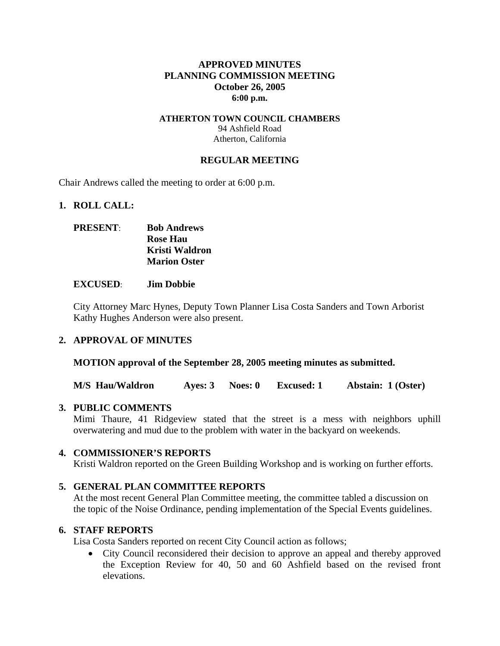## **APPROVED MINUTES PLANNING COMMISSION MEETING October 26, 2005 6:00 p.m.**

#### **ATHERTON TOWN COUNCIL CHAMBERS**  94 Ashfield Road Atherton, California

### **REGULAR MEETING**

Chair Andrews called the meeting to order at 6:00 p.m.

#### **1. ROLL CALL:**

# **PRESENT**: **Bob Andrews Rose Hau Kristi Waldron Marion Oster**

#### **EXCUSED**: **Jim Dobbie**

City Attorney Marc Hynes, Deputy Town Planner Lisa Costa Sanders and Town Arborist Kathy Hughes Anderson were also present.

### **2. APPROVAL OF MINUTES**

**MOTION approval of the September 28, 2005 meeting minutes as submitted.** 

**M/S Hau/Waldron Ayes: 3 Noes: 0 Excused: 1 Abstain: 1 (Oster)** 

### **3. PUBLIC COMMENTS**

Mimi Thaure, 41 Ridgeview stated that the street is a mess with neighbors uphill overwatering and mud due to the problem with water in the backyard on weekends.

### **4. COMMISSIONER'S REPORTS**

Kristi Waldron reported on the Green Building Workshop and is working on further efforts.

### **5. GENERAL PLAN COMMITTEE REPORTS**

At the most recent General Plan Committee meeting, the committee tabled a discussion on the topic of the Noise Ordinance, pending implementation of the Special Events guidelines.

### **6. STAFF REPORTS**

Lisa Costa Sanders reported on recent City Council action as follows;

• City Council reconsidered their decision to approve an appeal and thereby approved the Exception Review for 40, 50 and 60 Ashfield based on the revised front elevations.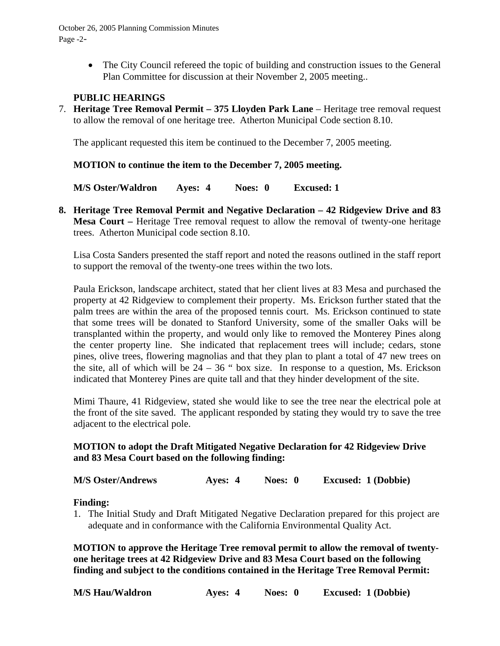• The City Council refereed the topic of building and construction issues to the General Plan Committee for discussion at their November 2, 2005 meeting..

## **PUBLIC HEARINGS**

7. **Heritage Tree Removal Permit – 375 Lloyden Park Lane** – Heritage tree removal request to allow the removal of one heritage tree. Atherton Municipal Code section 8.10.

The applicant requested this item be continued to the December 7, 2005 meeting.

## **MOTION to continue the item to the December 7, 2005 meeting.**

**M/S Oster/Waldron Ayes: 4 Noes: 0 Excused: 1** 

**8. Heritage Tree Removal Permit and Negative Declaration – 42 Ridgeview Drive and 83 Mesa Court –** Heritage Tree removal request to allow the removal of twenty-one heritage trees. Atherton Municipal code section 8.10.

Lisa Costa Sanders presented the staff report and noted the reasons outlined in the staff report to support the removal of the twenty-one trees within the two lots.

Paula Erickson, landscape architect, stated that her client lives at 83 Mesa and purchased the property at 42 Ridgeview to complement their property. Ms. Erickson further stated that the palm trees are within the area of the proposed tennis court. Ms. Erickson continued to state that some trees will be donated to Stanford University, some of the smaller Oaks will be transplanted within the property, and would only like to removed the Monterey Pines along the center property line. She indicated that replacement trees will include; cedars, stone pines, olive trees, flowering magnolias and that they plan to plant a total of 47 new trees on the site, all of which will be  $24 - 36$  " box size. In response to a question, Ms. Erickson indicated that Monterey Pines are quite tall and that they hinder development of the site.

Mimi Thaure, 41 Ridgeview, stated she would like to see the tree near the electrical pole at the front of the site saved. The applicant responded by stating they would try to save the tree adjacent to the electrical pole.

# **MOTION to adopt the Draft Mitigated Negative Declaration for 42 Ridgeview Drive and 83 Mesa Court based on the following finding:**

**M/S Oster/Andrews Ayes: 4 Noes: 0 Excused: 1 (Dobbie)** 

### **Finding:**

1. The Initial Study and Draft Mitigated Negative Declaration prepared for this project are adequate and in conformance with the California Environmental Quality Act.

**MOTION to approve the Heritage Tree removal permit to allow the removal of twentyone heritage trees at 42 Ridgeview Drive and 83 Mesa Court based on the following finding and subject to the conditions contained in the Heritage Tree Removal Permit:** 

| <b>M/S Hau/Waldron</b> | Ayes: 4 | Noes: 0 |  | <b>Excused: 1 (Dobbie)</b> |
|------------------------|---------|---------|--|----------------------------|
|                        |         |         |  |                            |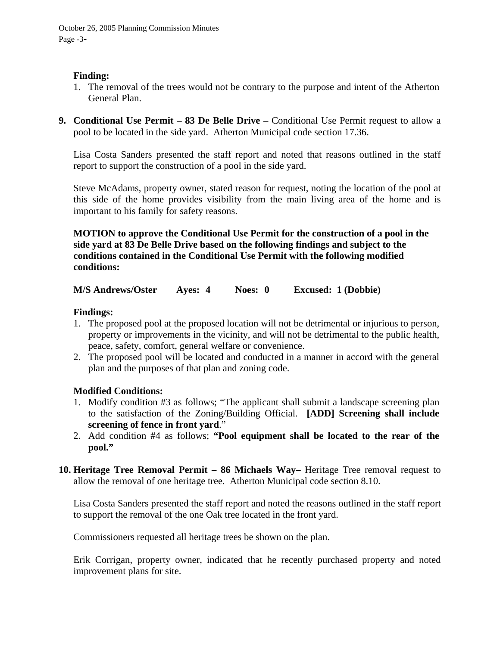## **Finding:**

- 1. The removal of the trees would not be contrary to the purpose and intent of the Atherton General Plan.
- **9. Conditional Use Permit 83 De Belle Drive Conditional Use Permit request to allow a** pool to be located in the side yard. Atherton Municipal code section 17.36.

Lisa Costa Sanders presented the staff report and noted that reasons outlined in the staff report to support the construction of a pool in the side yard.

Steve McAdams, property owner, stated reason for request, noting the location of the pool at this side of the home provides visibility from the main living area of the home and is important to his family for safety reasons.

**MOTION to approve the Conditional Use Permit for the construction of a pool in the side yard at 83 De Belle Drive based on the following findings and subject to the conditions contained in the Conditional Use Permit with the following modified conditions:** 

**M/S Andrews/Oster Ayes: 4 Noes: 0 Excused: 1 (Dobbie)** 

## **Findings:**

- 1. The proposed pool at the proposed location will not be detrimental or injurious to person, property or improvements in the vicinity, and will not be detrimental to the public health, peace, safety, comfort, general welfare or convenience.
- 2. The proposed pool will be located and conducted in a manner in accord with the general plan and the purposes of that plan and zoning code.

# **Modified Conditions:**

- 1. Modify condition #3 as follows; "The applicant shall submit a landscape screening plan to the satisfaction of the Zoning/Building Official. **[ADD] Screening shall include screening of fence in front yard**."
- 2. Add condition #4 as follows; **"Pool equipment shall be located to the rear of the pool."**
- **10. Heritage Tree Removal Permit 86 Michaels Way–** Heritage Tree removal request to allow the removal of one heritage tree. Atherton Municipal code section 8.10.

Lisa Costa Sanders presented the staff report and noted the reasons outlined in the staff report to support the removal of the one Oak tree located in the front yard.

Commissioners requested all heritage trees be shown on the plan.

Erik Corrigan, property owner, indicated that he recently purchased property and noted improvement plans for site.